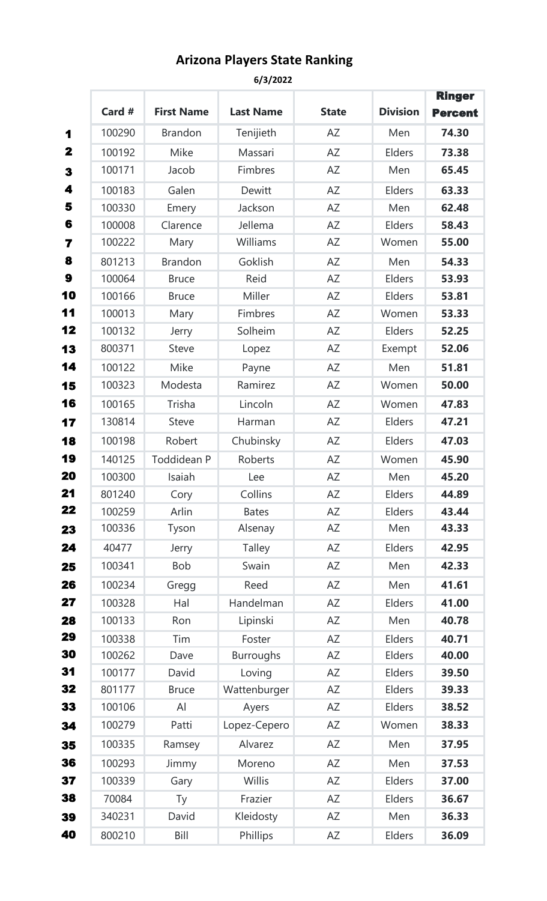## **Arizona Players State Ranking**

**6/3/2022**

|                         |        |                   |                  |              |                 | <b>Ringer</b>  |
|-------------------------|--------|-------------------|------------------|--------------|-----------------|----------------|
|                         | Card # | <b>First Name</b> | <b>Last Name</b> | <b>State</b> | <b>Division</b> | <b>Percent</b> |
| 1                       | 100290 | <b>Brandon</b>    | Tenijieth        | AZ           | Men             | 74.30          |
| 2                       | 100192 | Mike              | Massari          | <b>AZ</b>    | Elders          | 73.38          |
| 3                       | 100171 | Jacob             | Fimbres          | AZ           | Men             | 65.45          |
| 4                       | 100183 | Galen             | <b>Dewitt</b>    | <b>AZ</b>    | Elders          | 63.33          |
| 5                       | 100330 | Emery             | Jackson          | <b>AZ</b>    | Men             | 62.48          |
| 6                       | 100008 | Clarence          | Jellema          | AZ           | Elders          | 58.43          |
| $\overline{\mathbf{z}}$ | 100222 | Mary              | Williams         | AZ           | Women           | 55.00          |
| 8                       | 801213 | <b>Brandon</b>    | Goklish          | <b>AZ</b>    | Men             | 54.33          |
| 9                       | 100064 | <b>Bruce</b>      | Reid             | <b>AZ</b>    | Elders          | 53.93          |
| 10                      | 100166 | <b>Bruce</b>      | Miller           | <b>AZ</b>    | Elders          | 53.81          |
| 11                      | 100013 | Mary              | Fimbres          | AZ           | Women           | 53.33          |
| 12                      | 100132 | Jerry             | Solheim          | AZ           | Elders          | 52.25          |
| 13                      | 800371 | <b>Steve</b>      | Lopez            | AZ           | Exempt          | 52.06          |
| 14                      | 100122 | Mike              | Payne            | AZ           | Men             | 51.81          |
| 15                      | 100323 | Modesta           | Ramirez          | AZ           | Women           | 50.00          |
| 16                      | 100165 | Trisha            | Lincoln          | <b>AZ</b>    | Women           | 47.83          |
| 17                      | 130814 | <b>Steve</b>      | Harman           | AZ           | Elders          | 47.21          |
| 18                      | 100198 | Robert            | Chubinsky        | AZ           | Elders          | 47.03          |
| 19                      | 140125 | Toddidean P       | Roberts          | AZ           | Women           | 45.90          |
| 20                      | 100300 | Isaiah            | Lee              | <b>AZ</b>    | Men             | 45.20          |
| 21                      | 801240 | Cory              | Collins          | ΑZ           | Elders          | 44.89          |
| 22                      | 100259 | Arlin             | <b>Bates</b>     | AZ           | Elders          | 43.44          |
| 23                      | 100336 | Tyson             | Alsenay          | AZ           | Men             | 43.33          |
| 24                      | 40477  | Jerry             | <b>Talley</b>    | AZ           | Elders          | 42.95          |
| 25                      | 100341 | Bob               | Swain            | AZ           | Men             | 42.33          |
| 26                      | 100234 | Gregg             | Reed             | AZ           | Men             | 41.61          |
| 27                      | 100328 | Hal               | Handelman        | AZ           | Elders          | 41.00          |
| 28                      | 100133 | Ron               | Lipinski         | AZ           | Men             | 40.78          |
| 29                      | 100338 | Tim               | Foster           | AZ           | Elders          | 40.71          |
| 30                      | 100262 | Dave              | <b>Burroughs</b> | AZ           | Elders          | 40.00          |
| 31                      | 100177 | David             | Loving           | AZ           | Elders          | 39.50          |
| 32                      | 801177 | <b>Bruce</b>      | Wattenburger     | AZ           | Elders          | 39.33          |
| 33                      | 100106 | AI                | Ayers            | AZ           | Elders          | 38.52          |
| 34                      | 100279 | Patti             | Lopez-Cepero     | AZ           | Women           | 38.33          |
| 35                      | 100335 | Ramsey            | Alvarez          | AZ           | Men             | 37.95          |
| 36                      | 100293 | Jimmy             | Moreno           | AZ           | Men             | 37.53          |
| 37                      | 100339 | Gary              | Willis           | AZ           | Elders          | 37.00          |
| 38                      | 70084  | Ty                | Frazier          | AZ           | Elders          | 36.67          |
| 39                      | 340231 | David             | Kleidosty        | AZ           | Men             | 36.33          |
| 40                      | 800210 | Bill              | Phillips         | AZ           | Elders          | 36.09          |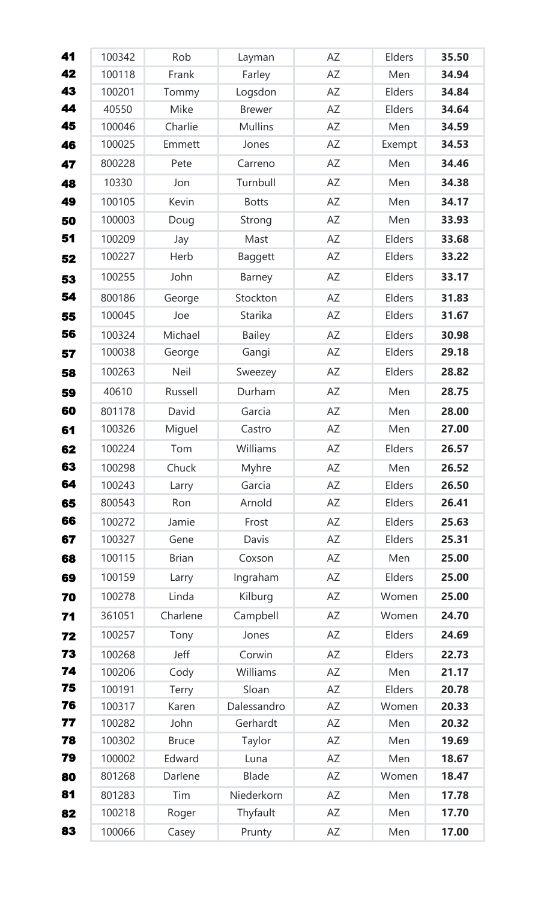| 41 | 100342 | Rob          | Layman         | AZ | Elders        | 35.50 |
|----|--------|--------------|----------------|----|---------------|-------|
| 42 | 100118 | Frank        | Farley         | AZ | Men           | 34.94 |
| 43 | 100201 | Tommy        | Logsdon        | AZ | Elders        | 34.84 |
| 44 | 40550  | Mike         | <b>Brewer</b>  | AZ | Elders        | 34.64 |
| 45 | 100046 | Charlie      | <b>Mullins</b> | AZ | Men           | 34.59 |
| 46 | 100025 | Emmett       | Jones          | AZ | Exempt        | 34.53 |
| 47 | 800228 | Pete         | Carreno        | AZ | Men           | 34.46 |
| 48 | 10330  | Jon          | Turnbull       | AZ | Men           | 34.38 |
| 49 | 100105 | Kevin        | <b>Botts</b>   | AZ | Men           | 34.17 |
| 50 | 100003 | Doug         | Strong         | AZ | Men           | 33.93 |
| 51 | 100209 | Jay          | Mast           | AZ | Elders        | 33.68 |
| 52 | 100227 | Herb         | <b>Baggett</b> | AZ | Elders        | 33.22 |
| 53 | 100255 | John         | Barney         | AZ | Elders        | 33.17 |
| 54 | 800186 | George       | Stockton       | AZ | Elders        | 31.83 |
| 55 | 100045 | Joe          | <b>Starika</b> | AZ | Elders        | 31.67 |
| 56 | 100324 | Michael      | <b>Bailey</b>  | AZ | Elders        | 30.98 |
| 57 | 100038 | George       | Gangi          | AZ | Elders        | 29.18 |
| 58 | 100263 | Neil         | Sweezey        | AZ | Elders        | 28.82 |
| 59 | 40610  | Russell      | Durham         | AZ | Men           | 28.75 |
| 60 | 801178 | David        | Garcia         | AZ | Men           | 28.00 |
| 61 | 100326 | Miguel       | Castro         | AZ | Men           | 27.00 |
| 62 | 100224 | Tom          | Williams       | AΖ | Elders        | 26.57 |
| 63 | 100298 | Chuck        | Myhre          | AZ | Men           | 26.52 |
| 64 | 100243 | Larry        | Garcia         | AZ | <b>Elders</b> | 26.50 |
| 65 | 800543 | Ron          | Arnold         | AZ | Elders        | 26.41 |
| 66 | 100272 | Jamie        | Frost          | AZ | Elders        | 25.63 |
| 67 | 100327 | Gene         | Davis          | AZ | <b>Elders</b> | 25.31 |
| 68 | 100115 | <b>Brian</b> | Coxson         | AZ | Men           | 25.00 |
| 69 | 100159 | Larry        | Ingraham       | AZ | Elders        | 25.00 |
| 70 | 100278 | Linda        | Kilburg        | AZ | Women         | 25.00 |
| 71 | 361051 | Charlene     | Campbell       | AZ | Women         | 24.70 |
| 72 | 100257 | Tony         | Jones          | AZ | Elders        | 24.69 |
| 73 | 100268 | Jeff         | Corwin         | AZ | Elders        | 22.73 |
| 74 | 100206 | Cody         | Williams       | AZ | Men           | 21.17 |
| 75 | 100191 | Terry        | Sloan          | AZ | <b>Elders</b> | 20.78 |
| 76 | 100317 | Karen        | Dalessandro    | AZ | Women         | 20.33 |
| 77 | 100282 | John         | Gerhardt       | AZ | Men           | 20.32 |
| 78 | 100302 | <b>Bruce</b> | Taylor         | AZ | Men           | 19.69 |
| 79 | 100002 | Edward       | Luna           | AZ | Men           | 18.67 |
| 80 | 801268 | Darlene      | <b>Blade</b>   | AZ | Women         | 18.47 |
| 81 | 801283 | Tim          | Niederkorn     | AZ | Men           | 17.78 |
| 82 | 100218 | Roger        | Thyfault       | AZ | Men           | 17.70 |
| 83 | 100066 | Casey        | Prunty         | AZ | Men           | 17.00 |